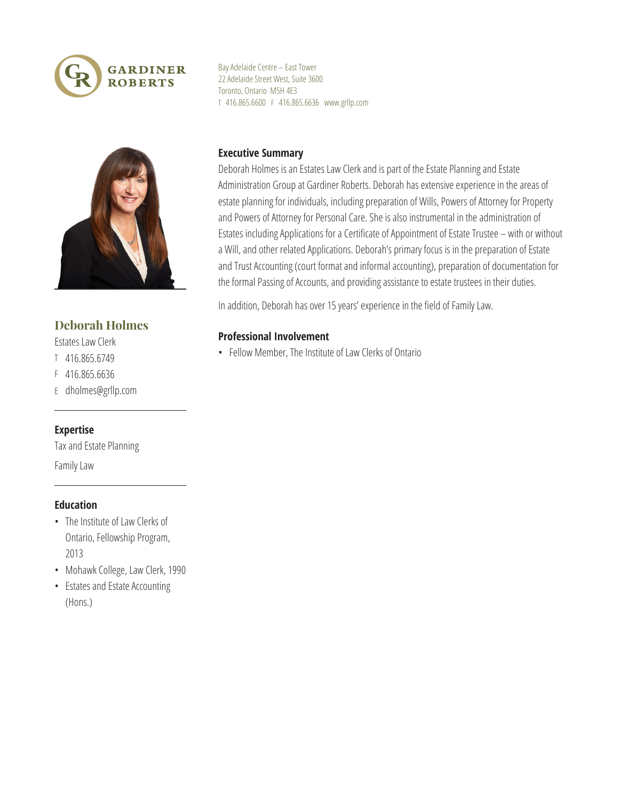



# **Deborah Holmes**

- Estates Law Clerk
- T 416.865.6749
- F 416.865.6636
- E dholmes@grllp.com

#### **Expertise**

Tax and Estate Planning Family Law

#### **Education**

- The Institute of Law Clerks of Ontario, Fellowship Program, 2013
- Mohawk College, Law Clerk, 1990
- • Estates and Estate Accounting (Hons.)

BayAdelaide Centre – East Tower 22 Adelaide Street West, Suite 3600 Toronto, Ontario M5H 4E3 T 416.865.6600 F 416.865.6636 www.grllp.com

### **Executive Summary**

Deborah Holmes is an Estates Law Clerk and is part of the Estate Planning and Estate Administration Group at Gardiner Roberts. Deborah has extensive experience in the areas of estate planning for individuals, including preparation of Wills, Powers of Attorney for Property and Powers of Attorney for Personal Care. She is also instrumental in the administration of Estates including Applications for a Certificate of Appointment of Estate Trustee – with or without a Will, and other related Applications. Deborah's primary focus is in the preparation of Estate and Trust Accounting (court format and informal accounting), preparation of documentation for the formal Passing of Accounts, and providing assistance to estate trustees in their duties.

In addition, Deborah has over 15 years' experience in the field of Family Law.

## **Professional Involvement**

• Fellow Member, The Institute of Law Clerks of Ontario